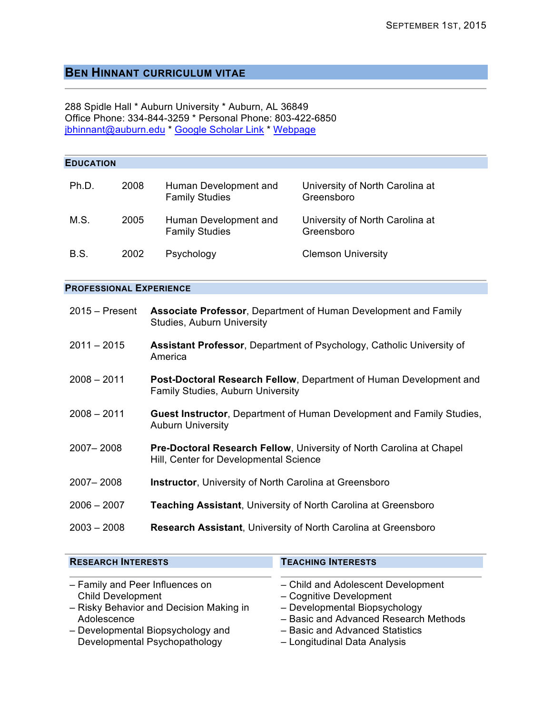# **BEN HINNANT CURRICULUM VITAE**

288 Spidle Hall \* Auburn University \* Auburn, AL 36849 Office Phone: 334-844-3259 \* Personal Phone: 803-422-6850 jbhinnant@auburn.edu \* Google Scholar Link \* Webpage

| <b>EDUCATION</b>               |      |                                                                                                                |                                               |  |  |
|--------------------------------|------|----------------------------------------------------------------------------------------------------------------|-----------------------------------------------|--|--|
| Ph.D.                          | 2008 | Human Development and<br><b>Family Studies</b>                                                                 | University of North Carolina at<br>Greensboro |  |  |
| M.S.                           | 2005 | Human Development and<br><b>Family Studies</b>                                                                 | University of North Carolina at<br>Greensboro |  |  |
| B.S.                           | 2002 | Psychology                                                                                                     | <b>Clemson University</b>                     |  |  |
| <b>PROFESSIONAL EXPERIENCE</b> |      |                                                                                                                |                                               |  |  |
| $2015 -$ Present               |      | Associate Professor, Department of Human Development and Family<br><b>Studies, Auburn University</b>           |                                               |  |  |
| $2011 - 2015$                  |      | Assistant Professor, Department of Psychology, Catholic University of<br>America                               |                                               |  |  |
| $2008 - 2011$                  |      | Post-Doctoral Research Fellow, Department of Human Development and<br>Family Studies, Auburn University        |                                               |  |  |
| $2008 - 2011$                  |      | Guest Instructor, Department of Human Development and Family Studies,<br><b>Auburn University</b>              |                                               |  |  |
| 2007-2008                      |      | Pre-Doctoral Research Fellow, University of North Carolina at Chapel<br>Hill, Center for Developmental Science |                                               |  |  |
| 2007-2008                      |      | Instructor, University of North Carolina at Greensboro                                                         |                                               |  |  |
| $2006 - 2007$                  |      | <b>Teaching Assistant, University of North Carolina at Greensboro</b>                                          |                                               |  |  |
| $2003 - 2008$                  |      | Research Assistant, University of North Carolina at Greensboro                                                 |                                               |  |  |
|                                |      |                                                                                                                |                                               |  |  |

| <b>RESEARCH INTERESTS</b>               | <b>TEACHING INTERESTS</b>             |
|-----------------------------------------|---------------------------------------|
| - Family and Peer Influences on         | - Child and Adolescent Development    |
| <b>Child Development</b>                | - Cognitive Development               |
| - Risky Behavior and Decision Making in | - Developmental Biopsychology         |
| Adolescence                             | - Basic and Advanced Research Methods |
| - Developmental Biopsychology and       | - Basic and Advanced Statistics       |
| Developmental Psychopathology           | - Longitudinal Data Analysis          |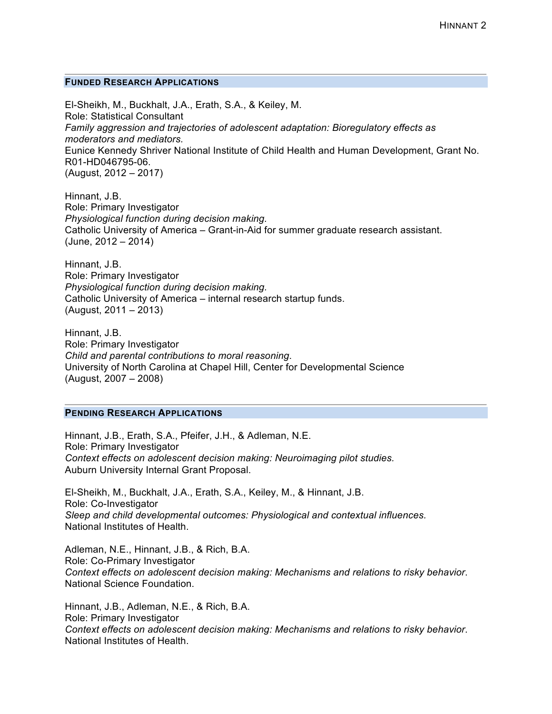#### **FUNDED RESEARCH APPLICATIONS**

El-Sheikh, M., Buckhalt, J.A., Erath, S.A., & Keiley, M. Role: Statistical Consultant *Family aggression and trajectories of adolescent adaptation: Bioregulatory effects as moderators and mediators.* Eunice Kennedy Shriver National Institute of Child Health and Human Development, Grant No. R01-HD046795-06. (August, 2012 – 2017)

Hinnant, J.B. Role: Primary Investigator *Physiological function during decision making.*  Catholic University of America – Grant-in-Aid for summer graduate research assistant.  $(June, 2012 - 2014)$ 

Hinnant, J.B. Role: Primary Investigator *Physiological function during decision making.*  Catholic University of America – internal research startup funds. (August, 2011 – 2013)

Hinnant, J.B. Role: Primary Investigator *Child and parental contributions to moral reasoning*. University of North Carolina at Chapel Hill, Center for Developmental Science (August, 2007 – 2008)

# **PENDING RESEARCH APPLICATIONS**

Hinnant, J.B., Erath, S.A., Pfeifer, J.H., & Adleman, N.E. Role: Primary Investigator *Context effects on adolescent decision making: Neuroimaging pilot studies.*  Auburn University Internal Grant Proposal.

El-Sheikh, M., Buckhalt, J.A., Erath, S.A., Keiley, M., & Hinnant, J.B. Role: Co-Investigator *Sleep and child developmental outcomes: Physiological and contextual influences.*  National Institutes of Health.

Adleman, N.E., Hinnant, J.B., & Rich, B.A. Role: Co-Primary Investigator *Context effects on adolescent decision making: Mechanisms and relations to risky behavior*. National Science Foundation.

Hinnant, J.B., Adleman, N.E., & Rich, B.A. Role: Primary Investigator *Context effects on adolescent decision making: Mechanisms and relations to risky behavior*. National Institutes of Health.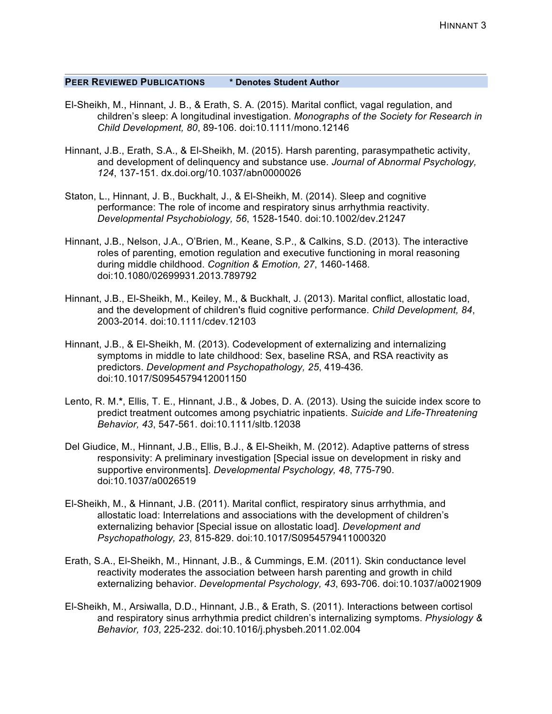### **PEER REVIEWED PUBLICATIONS \* Denotes Student Author**

- El-Sheikh, M., Hinnant, J. B., & Erath, S. A. (2015). Marital conflict, vagal regulation, and children's sleep: A longitudinal investigation. *Monographs of the Society for Research in Child Development, 80*, 89-106. doi:10.1111/mono.12146
- Hinnant, J.B., Erath, S.A., & El-Sheikh, M. (2015). Harsh parenting, parasympathetic activity, and development of delinquency and substance use. *Journal of Abnormal Psychology, 124*, 137-151. dx.doi.org/10.1037/abn0000026
- Staton, L., Hinnant, J. B., Buckhalt, J., & El-Sheikh, M. (2014). Sleep and cognitive performance: The role of income and respiratory sinus arrhythmia reactivity. *Developmental Psychobiology, 56*, 1528-1540. doi:10.1002/dev.21247
- Hinnant, J.B., Nelson, J.A., O'Brien, M., Keane, S.P., & Calkins, S.D. (2013). The interactive roles of parenting, emotion regulation and executive functioning in moral reasoning during middle childhood. *Cognition & Emotion, 27*, 1460-1468*.* doi:10.1080/02699931.2013.789792
- Hinnant, J.B., El-Sheikh, M., Keiley, M., & Buckhalt, J. (2013). Marital conflict, allostatic load, and the development of children's fluid cognitive performance. *Child Development, 84*, 2003-2014. doi:10.1111/cdev.12103
- Hinnant, J.B., & El-Sheikh, M. (2013). Codevelopment of externalizing and internalizing symptoms in middle to late childhood: Sex, baseline RSA, and RSA reactivity as predictors. *Development and Psychopathology, 25*, 419-436*.* doi:10.1017/S0954579412001150
- Lento, R. M.**\***, Ellis, T. E., Hinnant, J.B., & Jobes, D. A. (2013). Using the suicide index score to predict treatment outcomes among psychiatric inpatients. *Suicide and Life-Threatening Behavior, 43*, 547-561. doi:10.1111/sltb.12038
- Del Giudice, M., Hinnant, J.B., Ellis, B.J., & El-Sheikh, M. (2012). Adaptive patterns of stress responsivity: A preliminary investigation [Special issue on development in risky and supportive environments]. *Developmental Psychology, 48*, 775-790. doi:10.1037/a0026519
- El-Sheikh, M., & Hinnant, J.B. (2011). Marital conflict, respiratory sinus arrhythmia, and allostatic load: Interrelations and associations with the development of children's externalizing behavior [Special issue on allostatic load]. *Development and Psychopathology, 23*, 815-829. doi:10.1017/S0954579411000320
- Erath, S.A., El-Sheikh, M., Hinnant, J.B., & Cummings, E.M. (2011). Skin conductance level reactivity moderates the association between harsh parenting and growth in child externalizing behavior. *Developmental Psychology, 43*, 693-706. doi:10.1037/a0021909
- El-Sheikh, M., Arsiwalla, D.D., Hinnant, J.B., & Erath, S. (2011). Interactions between cortisol and respiratory sinus arrhythmia predict children's internalizing symptoms. *Physiology & Behavior, 103*, 225-232. doi:10.1016/j.physbeh.2011.02.004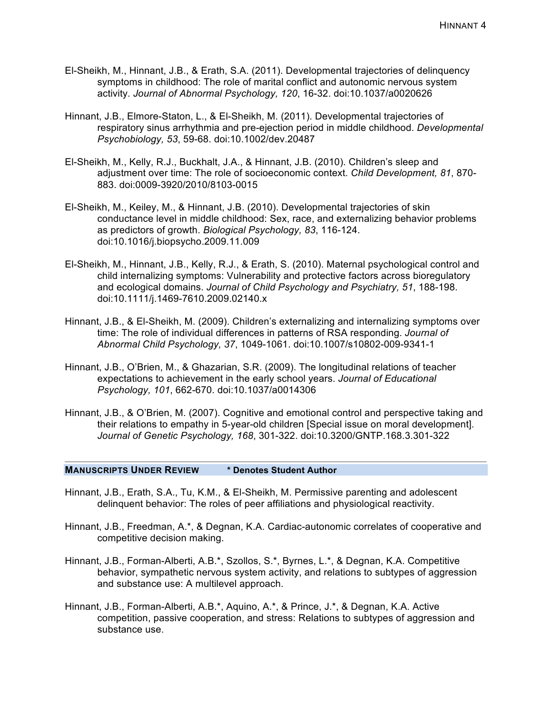- El-Sheikh, M., Hinnant, J.B., & Erath, S.A. (2011). Developmental trajectories of delinquency symptoms in childhood: The role of marital conflict and autonomic nervous system activity. *Journal of Abnormal Psychology, 120*, 16-32. doi:10.1037/a0020626
- Hinnant, J.B., Elmore-Staton, L., & El-Sheikh, M. (2011). Developmental trajectories of respiratory sinus arrhythmia and pre-ejection period in middle childhood. *Developmental Psychobiology, 53*, 59-68. doi:10.1002/dev.20487
- El-Sheikh, M., Kelly, R.J., Buckhalt, J.A., & Hinnant, J.B. (2010). Children's sleep and adjustment over time: The role of socioeconomic context. *Child Development, 81*, 870- 883. doi:0009-3920/2010/8103-0015
- El-Sheikh, M., Keiley, M., & Hinnant, J.B. (2010). Developmental trajectories of skin conductance level in middle childhood: Sex, race, and externalizing behavior problems as predictors of growth. *Biological Psychology, 83*, 116-124. doi:10.1016/j.biopsycho.2009.11.009
- El-Sheikh, M., Hinnant, J.B., Kelly, R.J., & Erath, S. (2010). Maternal psychological control and child internalizing symptoms: Vulnerability and protective factors across bioregulatory and ecological domains. *Journal of Child Psychology and Psychiatry, 51*, 188-198. doi:10.1111/j.1469-7610.2009.02140.x
- Hinnant, J.B., & El-Sheikh, M. (2009). Children's externalizing and internalizing symptoms over time: The role of individual differences in patterns of RSA responding. *Journal of Abnormal Child Psychology, 37*, 1049-1061. doi:10.1007/s10802-009-9341-1
- Hinnant, J.B., O'Brien, M., & Ghazarian, S.R. (2009). The longitudinal relations of teacher expectations to achievement in the early school years. *Journal of Educational Psychology, 101*, 662-670. doi:10.1037/a0014306
- Hinnant, J.B., & O'Brien, M. (2007). Cognitive and emotional control and perspective taking and their relations to empathy in 5-year-old children [Special issue on moral development]. *Journal of Genetic Psychology, 168*, 301-322. doi:10.3200/GNTP.168.3.301-322

#### **MANUSCRIPTS UNDER REVIEW \* Denotes Student Author**

- Hinnant, J.B., Erath, S.A., Tu, K.M., & El-Sheikh, M. Permissive parenting and adolescent delinquent behavior: The roles of peer affiliations and physiological reactivity.
- Hinnant, J.B., Freedman, A.\*, & Degnan, K.A. Cardiac-autonomic correlates of cooperative and competitive decision making.
- Hinnant, J.B., Forman-Alberti, A.B.\*, Szollos, S.\*, Byrnes, L.\*, & Degnan, K.A. Competitive behavior, sympathetic nervous system activity, and relations to subtypes of aggression and substance use: A multilevel approach.
- Hinnant, J.B., Forman-Alberti, A.B.\*, Aquino, A.\*, & Prince, J.\*, & Degnan, K.A. Active competition, passive cooperation, and stress: Relations to subtypes of aggression and substance use.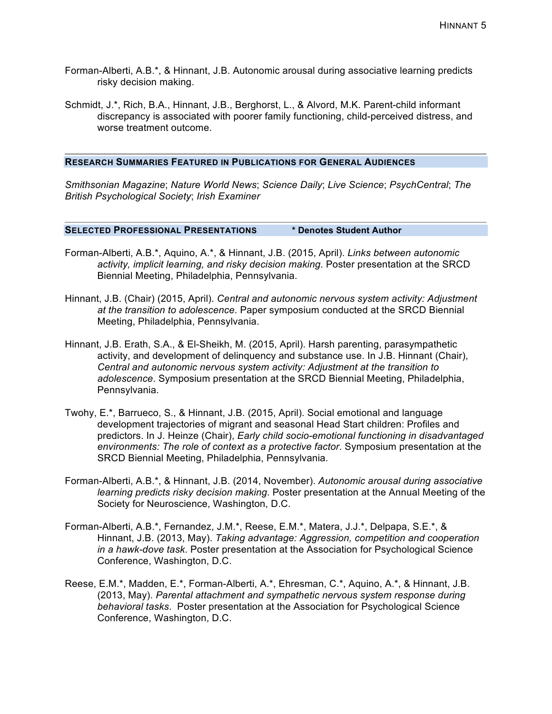- Forman-Alberti, A.B.\*, & Hinnant, J.B. Autonomic arousal during associative learning predicts risky decision making.
- Schmidt, J.\*, Rich, B.A., Hinnant, J.B., Berghorst, L., & Alvord, M.K. Parent-child informant discrepancy is associated with poorer family functioning, child-perceived distress, and worse treatment outcome.

#### **RESEARCH SUMMARIES FEATURED IN PUBLICATIONS FOR GENERAL AUDIENCES**

*Smithsonian Magazine*; *Nature World News*; *Science Daily*; *Live Science*; *PsychCentral*; *The British Psychological Society*; *Irish Examiner*

**SELECTED PROFESSIONAL PRESENTATIONS \* Denotes Student Author**

- Forman-Alberti, A.B.\*, Aquino, A.\*, & Hinnant, J.B. (2015, April). *Links between autonomic activity, implicit learning, and risky decision making*. Poster presentation at the SRCD Biennial Meeting, Philadelphia, Pennsylvania.
- Hinnant, J.B. (Chair) (2015, April). *Central and autonomic nervous system activity: Adjustment at the transition to adolescence*. Paper symposium conducted at the SRCD Biennial Meeting, Philadelphia, Pennsylvania.
- Hinnant, J.B. Erath, S.A., & El-Sheikh, M. (2015, April). Harsh parenting, parasympathetic activity, and development of delinquency and substance use. In J.B. Hinnant (Chair), *Central and autonomic nervous system activity: Adjustment at the transition to adolescence*. Symposium presentation at the SRCD Biennial Meeting, Philadelphia, Pennsylvania.
- Twohy, E.\*, Barrueco, S., & Hinnant, J.B. (2015, April). Social emotional and language development trajectories of migrant and seasonal Head Start children: Profiles and predictors. In J. Heinze (Chair), *Early child socio-emotional functioning in disadvantaged environments: The role of context as a protective factor*. Symposium presentation at the SRCD Biennial Meeting, Philadelphia, Pennsylvania.
- Forman-Alberti, A.B.\*, & Hinnant, J.B. (2014, November). *Autonomic arousal during associative learning predicts risky decision making*. Poster presentation at the Annual Meeting of the Society for Neuroscience, Washington, D.C.
- Forman-Alberti, A.B.\*, Fernandez, J.M.\*, Reese, E.M.\*, Matera, J.J.\*, Delpapa, S.E.\*, & Hinnant, J.B. (2013, May). *Taking advantage: Aggression, competition and cooperation in a hawk-dove task*. Poster presentation at the Association for Psychological Science Conference, Washington, D.C.
- Reese, E.M.\*, Madden, E.\*, Forman-Alberti, A.\*, Ehresman, C.\*, Aquino, A.\*, & Hinnant, J.B. (2013, May). *Parental attachment and sympathetic nervous system response during behavioral tasks*. Poster presentation at the Association for Psychological Science Conference, Washington, D.C.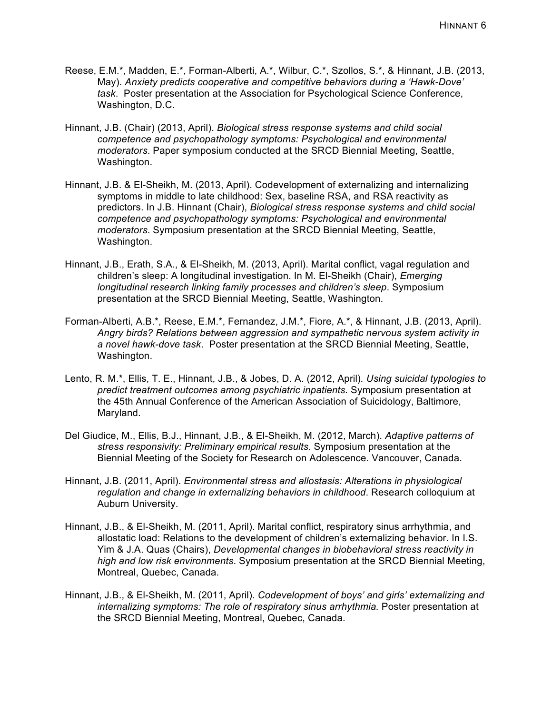- Reese, E.M.\*, Madden, E.\*, Forman-Alberti, A.\*, Wilbur, C.\*, Szollos, S.\*, & Hinnant, J.B. (2013, May). *Anxiety predicts cooperative and competitive behaviors during a 'Hawk-Dove' task*. Poster presentation at the Association for Psychological Science Conference, Washington, D.C.
- Hinnant, J.B. (Chair) (2013, April). *Biological stress response systems and child social competence and psychopathology symptoms: Psychological and environmental moderators*. Paper symposium conducted at the SRCD Biennial Meeting, Seattle, Washington.
- Hinnant, J.B. & El-Sheikh, M. (2013, April). Codevelopment of externalizing and internalizing symptoms in middle to late childhood: Sex, baseline RSA, and RSA reactivity as predictors. In J.B. Hinnant (Chair), *Biological stress response systems and child social competence and psychopathology symptoms: Psychological and environmental moderators*. Symposium presentation at the SRCD Biennial Meeting, Seattle, Washington.
- Hinnant, J.B., Erath, S.A., & El-Sheikh, M. (2013, April). Marital conflict, vagal regulation and children's sleep: A longitudinal investigation. In M. El-Sheikh (Chair), *Emerging longitudinal research linking family processes and children's sleep*. Symposium presentation at the SRCD Biennial Meeting, Seattle, Washington.
- Forman-Alberti, A.B.\*, Reese, E.M.\*, Fernandez, J.M.\*, Fiore, A.\*, & Hinnant, J.B. (2013, April). *Angry birds? Relations between aggression and sympathetic nervous system activity in a novel hawk-dove task*. Poster presentation at the SRCD Biennial Meeting, Seattle, Washington.
- Lento, R. M.\*, Ellis, T. E., Hinnant, J.B., & Jobes, D. A. (2012, April)*. Using suicidal typologies to predict treatment outcomes among psychiatric inpatients.* Symposium presentation at the 45th Annual Conference of the American Association of Suicidology, Baltimore, Maryland.
- Del Giudice, M., Ellis, B.J., Hinnant, J.B., & El-Sheikh, M. (2012, March). *Adaptive patterns of stress responsivity: Preliminary empirical results*. Symposium presentation at the Biennial Meeting of the Society for Research on Adolescence. Vancouver, Canada.
- Hinnant, J.B. (2011, April). *Environmental stress and allostasis: Alterations in physiological regulation and change in externalizing behaviors in childhood*. Research colloquium at Auburn University.
- Hinnant, J.B., & El-Sheikh, M. (2011, April). Marital conflict, respiratory sinus arrhythmia, and allostatic load: Relations to the development of children's externalizing behavior. In I.S. Yim & J.A. Quas (Chairs), *Developmental changes in biobehavioral stress reactivity in high and low risk environments*. Symposium presentation at the SRCD Biennial Meeting, Montreal, Quebec, Canada.
- Hinnant, J.B., & El-Sheikh, M. (2011, April). *Codevelopment of boys' and girls' externalizing and internalizing symptoms: The role of respiratory sinus arrhythmia.* Poster presentation at the SRCD Biennial Meeting, Montreal, Quebec, Canada.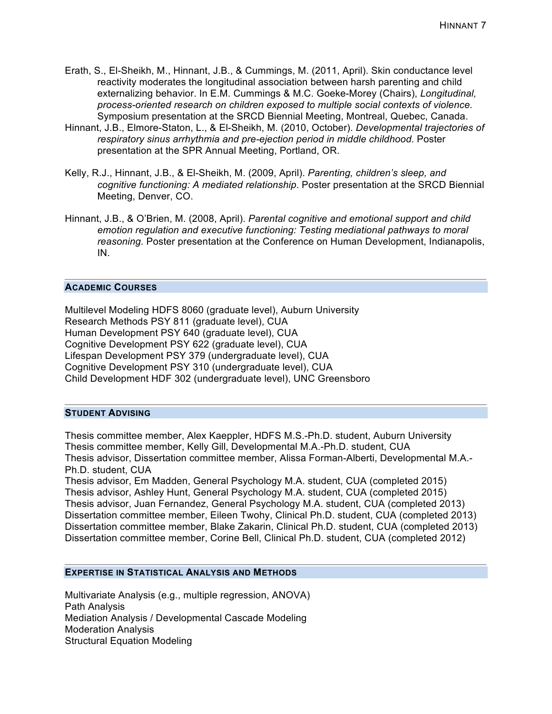- Erath, S., El-Sheikh, M., Hinnant, J.B., & Cummings, M. (2011, April). Skin conductance level reactivity moderates the longitudinal association between harsh parenting and child externalizing behavior. In E.M. Cummings & M.C. Goeke-Morey (Chairs), *Longitudinal, process-oriented research on children exposed to multiple social contexts of violence.* Symposium presentation at the SRCD Biennial Meeting, Montreal, Quebec, Canada.
- Hinnant, J.B., Elmore-Staton, L., & El-Sheikh, M. (2010, October). *Developmental trajectories of respiratory sinus arrhythmia and pre-ejection period in middle childhood*. Poster presentation at the SPR Annual Meeting, Portland, OR.
- Kelly, R.J., Hinnant, J.B., & El-Sheikh, M. (2009, April). *Parenting, children's sleep, and cognitive functioning: A mediated relationship*. Poster presentation at the SRCD Biennial Meeting, Denver, CO.
- Hinnant, J.B., & O'Brien, M. (2008, April). *Parental cognitive and emotional support and child emotion regulation and executive functioning: Testing mediational pathways to moral reasoning.* Poster presentation at the Conference on Human Development, Indianapolis, IN.

### **ACADEMIC COURSES**

Multilevel Modeling HDFS 8060 (graduate level), Auburn University Research Methods PSY 811 (graduate level), CUA Human Development PSY 640 (graduate level), CUA Cognitive Development PSY 622 (graduate level), CUA Lifespan Development PSY 379 (undergraduate level), CUA Cognitive Development PSY 310 (undergraduate level), CUA Child Development HDF 302 (undergraduate level), UNC Greensboro

#### **STUDENT ADVISING**

Thesis committee member, Alex Kaeppler, HDFS M.S.-Ph.D. student, Auburn University Thesis committee member, Kelly Gill, Developmental M.A.-Ph.D. student, CUA Thesis advisor, Dissertation committee member, Alissa Forman-Alberti, Developmental M.A.- Ph.D. student, CUA

Thesis advisor, Em Madden, General Psychology M.A. student, CUA (completed 2015) Thesis advisor, Ashley Hunt, General Psychology M.A. student, CUA (completed 2015) Thesis advisor, Juan Fernandez, General Psychology M.A. student, CUA (completed 2013) Dissertation committee member, Eileen Twohy, Clinical Ph.D. student, CUA (completed 2013) Dissertation committee member, Blake Zakarin, Clinical Ph.D. student, CUA (completed 2013) Dissertation committee member, Corine Bell, Clinical Ph.D. student, CUA (completed 2012)

#### **EXPERTISE IN STATISTICAL ANALYSIS AND METHODS**

Multivariate Analysis (e.g., multiple regression, ANOVA) Path Analysis Mediation Analysis / Developmental Cascade Modeling Moderation Analysis Structural Equation Modeling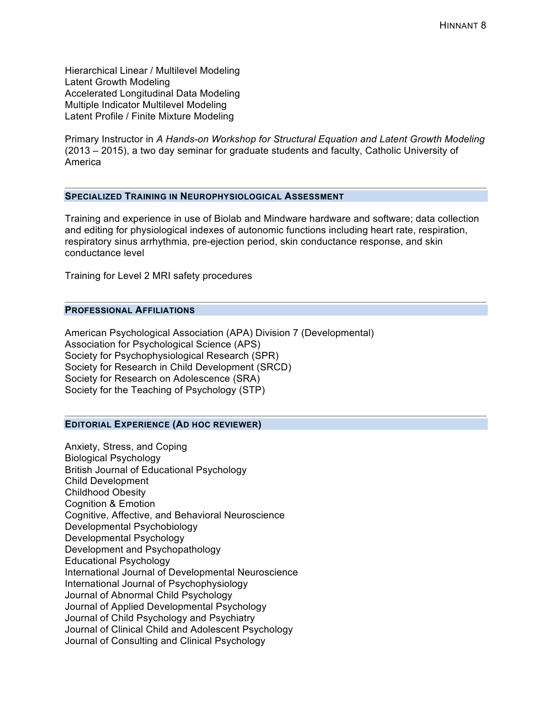Hierarchical Linear / Multilevel Modeling Latent Growth Modeling Accelerated Longitudinal Data Modeling Multiple Indicator Multilevel Modeling Latent Profile / Finite Mixture Modeling

Primary Instructor in *A Hands-on Workshop for Structural Equation and Latent Growth Modeling* (2013 – 2015), a two day seminar for graduate students and faculty, Catholic University of America

# **SPECIALIZED TRAINING IN NEUROPHYSIOLOGICAL ASSESSMENT**

Training and experience in use of Biolab and Mindware hardware and software; data collection and editing for physiological indexes of autonomic functions including heart rate, respiration, respiratory sinus arrhythmia, pre-ejection period, skin conductance response, and skin conductance level

Training for Level 2 MRI safety procedures

### **PROFESSIONAL AFFILIATIONS**

American Psychological Association (APA) Division 7 (Developmental) Association for Psychological Science (APS) Society for Psychophysiological Research (SPR) Society for Research in Child Development (SRCD) Society for Research on Adolescence (SRA) Society for the Teaching of Psychology (STP)

#### **EDITORIAL EXPERIENCE (AD HOC REVIEWER)**

Anxiety, Stress, and Coping Biological Psychology British Journal of Educational Psychology Child Development Childhood Obesity Cognition & Emotion Cognitive, Affective, and Behavioral Neuroscience Developmental Psychobiology Developmental Psychology Development and Psychopathology Educational Psychology International Journal of Developmental Neuroscience International Journal of Psychophysiology Journal of Abnormal Child Psychology Journal of Applied Developmental Psychology Journal of Child Psychology and Psychiatry Journal of Clinical Child and Adolescent Psychology Journal of Consulting and Clinical Psychology